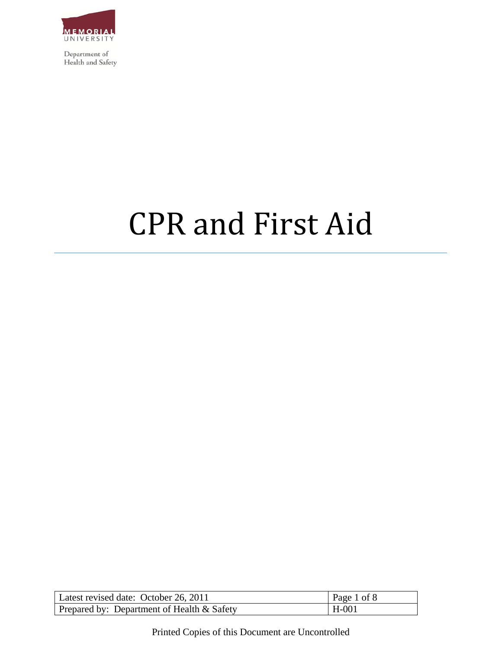

# CPR and First Aid

| Latest revised date: October 26, 2011      | Page 1 of 8 |
|--------------------------------------------|-------------|
| Prepared by: Department of Health & Safety | $H-001$     |

Printed Copies of this Document are Uncontrolled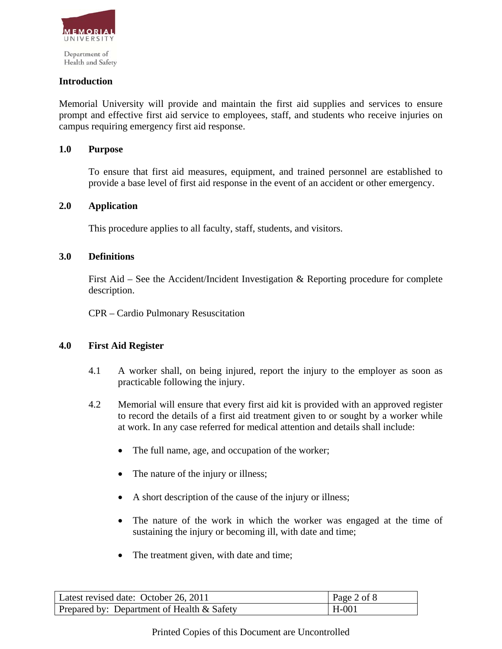

### **Introduction**

Memorial University will provide and maintain the first aid supplies and services to ensure prompt and effective first aid service to employees, staff, and students who receive injuries on campus requiring emergency first aid response.

#### **1.0 Purpose**

To ensure that first aid measures, equipment, and trained personnel are established to provide a base level of first aid response in the event of an accident or other emergency.

#### **2.0 Application**

This procedure applies to all faculty, staff, students, and visitors.

### **3.0 Definitions**

First Aid – See the Accident/Incident Investigation & Reporting procedure for complete description.

CPR – Cardio Pulmonary Resuscitation

#### **4.0 First Aid Register**

- 4.1 A worker shall, on being injured, report the injury to the employer as soon as practicable following the injury.
- 4.2 Memorial will ensure that every first aid kit is provided with an approved register to record the details of a first aid treatment given to or sought by a worker while at work. In any case referred for medical attention and details shall include:
	- The full name, age, and occupation of the worker;
	- The nature of the injury or illness;
	- A short description of the cause of the injury or illness;
	- The nature of the work in which the worker was engaged at the time of sustaining the injury or becoming ill, with date and time;
	- The treatment given, with date and time;

| Latest revised date: October 26, 2011        | Page 2 of $8$ |
|----------------------------------------------|---------------|
| Prepared by: Department of Health $&$ Safety | $H$ -001      |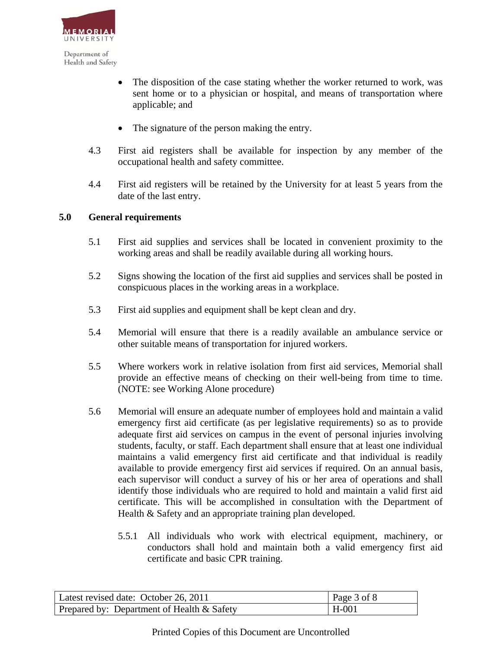

- The disposition of the case stating whether the worker returned to work, was sent home or to a physician or hospital, and means of transportation where applicable; and
- The signature of the person making the entry.
- 4.3 First aid registers shall be available for inspection by any member of the occupational health and safety committee.
- 4.4 First aid registers will be retained by the University for at least 5 years from the date of the last entry.

## **5.0 General requirements**

- 5.1 First aid supplies and services shall be located in convenient proximity to the working areas and shall be readily available during all working hours.
- 5.2 Signs showing the location of the first aid supplies and services shall be posted in conspicuous places in the working areas in a workplace.
- 5.3 First aid supplies and equipment shall be kept clean and dry.
- 5.4 Memorial will ensure that there is a readily available an ambulance service or other suitable means of transportation for injured workers.
- 5.5 Where workers work in relative isolation from first aid services, Memorial shall provide an effective means of checking on their well-being from time to time. (NOTE: see Working Alone procedure)
- 5.6 Memorial will ensure an adequate number of employees hold and maintain a valid emergency first aid certificate (as per legislative requirements) so as to provide adequate first aid services on campus in the event of personal injuries involving students, faculty, or staff. Each department shall ensure that at least one individual maintains a valid emergency first aid certificate and that individual is readily available to provide emergency first aid services if required. On an annual basis, each supervisor will conduct a survey of his or her area of operations and shall identify those individuals who are required to hold and maintain a valid first aid certificate. This will be accomplished in consultation with the Department of Health & Safety and an appropriate training plan developed.
	- 5.5.1 All individuals who work with electrical equipment, machinery, or conductors shall hold and maintain both a valid emergency first aid certificate and basic CPR training.

| Latest revised date: October 26, 2011      | Page 3 of 8 |
|--------------------------------------------|-------------|
| Prepared by: Department of Health & Safety | H-001       |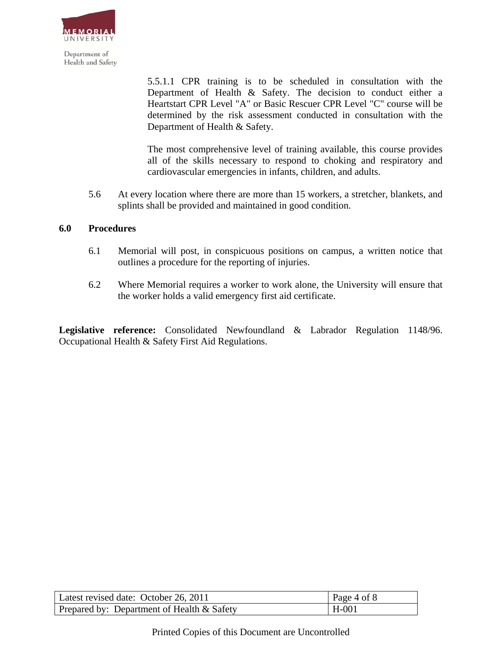

> 5.5.1.1 CPR training is to be scheduled in consultation with the Department of Health & Safety. The decision to conduct either a Heartstart CPR Level "A" or Basic Rescuer CPR Level "C" course will be determined by the risk assessment conducted in consultation with the Department of Health & Safety.

> The most comprehensive level of training available, this course provides all of the skills necessary to respond to choking and respiratory and cardiovascular emergencies in infants, children, and adults.

5.6 At every location where there are more than 15 workers, a stretcher, blankets, and splints shall be provided and maintained in good condition.

## **6.0 Procedures**

- 6.1 Memorial will post, in conspicuous positions on campus, a written notice that outlines a procedure for the reporting of injuries.
- 6.2 Where Memorial requires a worker to work alone, the University will ensure that the worker holds a valid emergency first aid certificate.

**Legislative reference:** Consolidated Newfoundland & Labrador Regulation 1148/96. Occupational Health & Safety First Aid Regulations.

| Latest revised date: October 26, 2011      | Page 4 of 8 |
|--------------------------------------------|-------------|
| Prepared by: Department of Health & Safety | $H-001$     |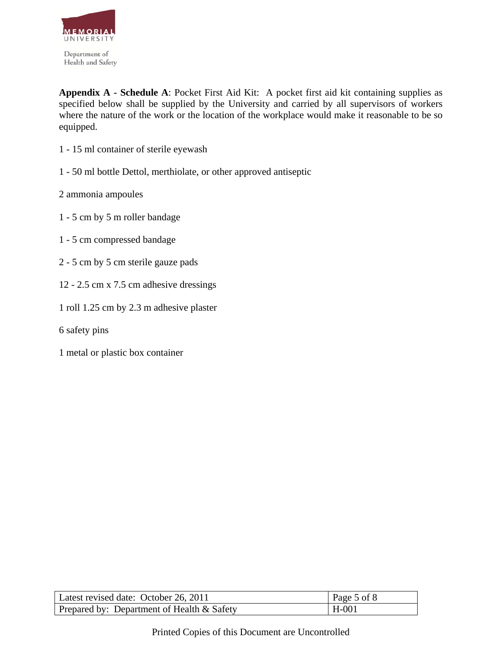

**Appendix A - Schedule A**: Pocket First Aid Kit: A pocket first aid kit containing supplies as specified below shall be supplied by the University and carried by all supervisors of workers where the nature of the work or the location of the workplace would make it reasonable to be so equipped.

- 1 15 ml container of sterile eyewash
- 1 50 ml bottle Dettol, merthiolate, or other approved antiseptic
- 2 ammonia ampoules
- 1 5 cm by 5 m roller bandage
- 1 5 cm compressed bandage
- 2 5 cm by 5 cm sterile gauze pads
- 12 2.5 cm x 7.5 cm adhesive dressings
- 1 roll 1.25 cm by 2.3 m adhesive plaster
- 6 safety pins
- 1 metal or plastic box container

| Latest revised date: October 26, 2011              | Page 5 of 8 |
|----------------------------------------------------|-------------|
| $\vert$ Prepared by: Department of Health & Safety | $H-001$     |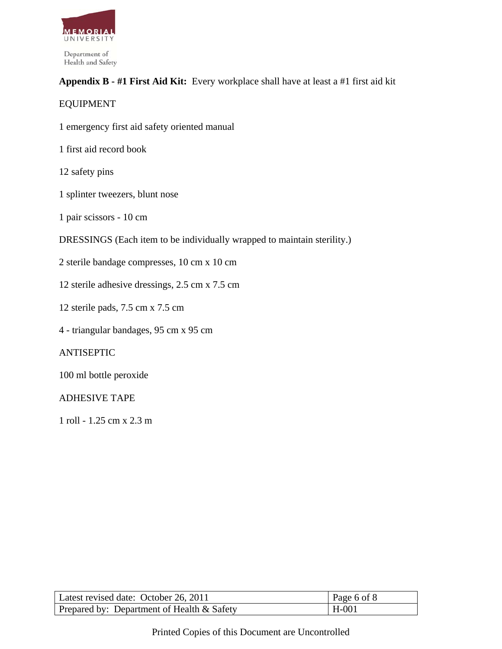

# **Appendix B - #1 First Aid Kit:** Every workplace shall have at least a #1 first aid kit

# EQUIPMENT

- 1 emergency first aid safety oriented manual
- 1 first aid record book
- 12 safety pins
- 1 splinter tweezers, blunt nose
- 1 pair scissors 10 cm
- DRESSINGS (Each item to be individually wrapped to maintain sterility.)
- 2 sterile bandage compresses, 10 cm x 10 cm
- 12 sterile adhesive dressings, 2.5 cm x 7.5 cm
- 12 sterile pads, 7.5 cm x 7.5 cm
- 4 triangular bandages, 95 cm x 95 cm

# ANTISEPTIC

100 ml bottle peroxide

# ADHESIVE TAPE

1 roll - 1.25 cm x 2.3 m

| Latest revised date: October 26, 2011      | Page 6 of 8 |
|--------------------------------------------|-------------|
| Prepared by: Department of Health & Safety | $H-001$     |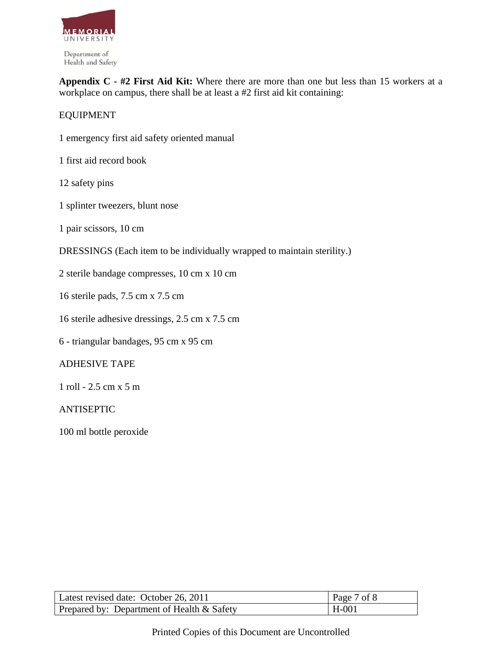

**Appendix C - #2 First Aid Kit:** Where there are more than one but less than 15 workers at a workplace on campus, there shall be at least a #2 first aid kit containing:

# EQUIPMENT

- 1 emergency first aid safety oriented manual
- 1 first aid record book
- 12 safety pins
- 1 splinter tweezers, blunt nose
- 1 pair scissors, 10 cm
- DRESSINGS (Each item to be individually wrapped to maintain sterility.)
- 2 sterile bandage compresses, 10 cm x 10 cm
- 16 sterile pads, 7.5 cm x 7.5 cm
- 16 sterile adhesive dressings, 2.5 cm x 7.5 cm
- 6 triangular bandages, 95 cm x 95 cm

#### ADHESIVE TAPE

1 roll - 2.5 cm x 5 m

#### ANTISEPTIC

100 ml bottle peroxide

| Latest revised date: October 26, 2011      | Page 7 of 8 |
|--------------------------------------------|-------------|
| Prepared by: Department of Health & Safety | $H-001$     |